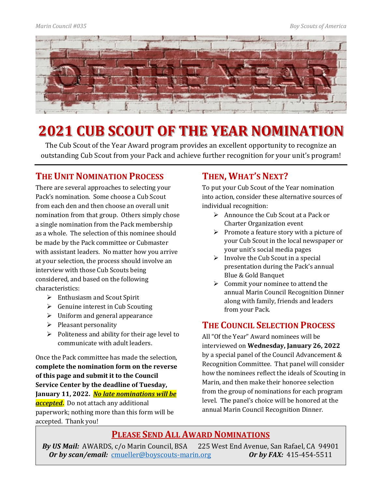

# **2021 CUB SCOUT OF THE YEAR NOMINATION**

The Cub Scout of the Year Award program provides an excellent opportunity to recognize an outstanding Cub Scout from your Pack and achieve further recognition for your unit's program!

### **THE UNIT NOMINATION PROCESS**

There are several approaches to selecting your Pack's nomination. Some choose a Cub Scout from each den and then choose an overall unit nomination from that group. Others simply chose a single nomination from the Pack membership as a whole. The selection of this nominee should be made by the Pack committee or Cubmaster with assistant leaders. No matter how you arrive at your selection, the process should involve an interview with those Cub Scouts being considered, and based on the following characteristics:

- $\triangleright$  Enthusiasm and Scout Spirit
- $\triangleright$  Genuine interest in Cub Scouting
- $\triangleright$  Uniform and general appearance
- $\triangleright$  Pleasant personality
- $\triangleright$  Politeness and ability for their age level to communicate with adult leaders.

Once the Pack committee has made the selection, **complete the nomination form on the reverse of this page and submit it to the Council Service Center by the deadline of Tuesday, January 11, 2022.** *No late nominations will be accepted***.** Do not attach any additional paperwork; nothing more than this form will be accepted. Thank you!

## **THEN, WHAT'S NEXT?**

To put your Cub Scout of the Year nomination into action, consider these alternative sources of individual recognition:

- $\triangleright$  Announce the Cub Scout at a Pack or Charter Organization event
- $\triangleright$  Promote a feature story with a picture of your Cub Scout in the local newspaper or your unit's social media pages
- $\triangleright$  Involve the Cub Scout in a special presentation during the Pack's annual Blue & Gold Banquet
- $\triangleright$  Commit your nominee to attend the annual Marin Council Recognition Dinner along with family, friends and leaders from your Pack.

### **THE COUNCIL SELECTION PROCESS**

All "Of the Year" Award nominees will be interviewed on **Wednesday, January 26, 2022** by a special panel of the Council Advancement & Recognition Committee. That panel will consider how the nominees reflect the ideals of Scouting in Marin, and then make their honoree selection from the group of nominations for each program level. The panel's choice will be honored at the annual Marin Council Recognition Dinner.

### **PLEASE SEND ALL AWARD NOMINATIONS**

*By US Mail:* AWARDS, c/o Marin Council, BSA 225 West End Avenue, San Rafael, CA 94901<br>*Or by scan/email:* cmueller@boyscouts-marin.org *Or by FAX:* 415-454-5511 *Or by scan/email: [cmueller@boyscouts-marin.org](mailto:cmueller@boyscouts-marin.org)*